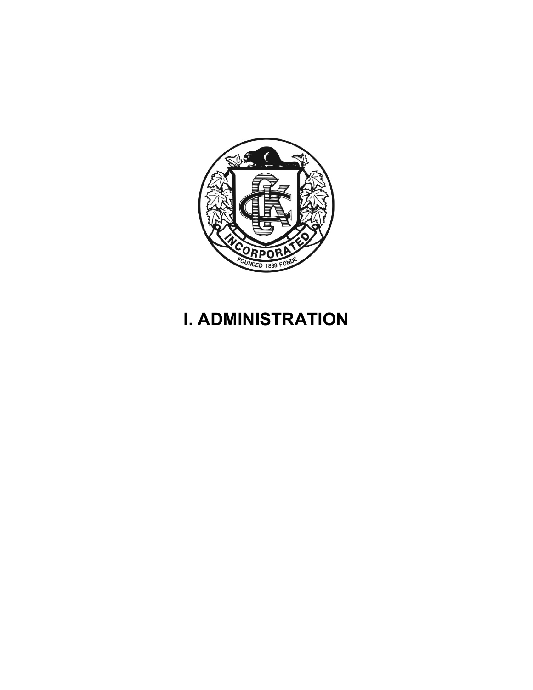

# I. ADMINISTRATION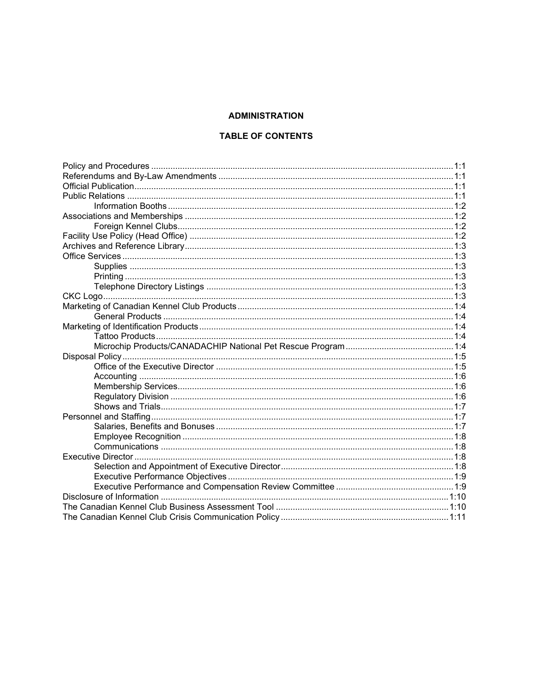## **ADMINISTRATION**

## **TABLE OF CONTENTS**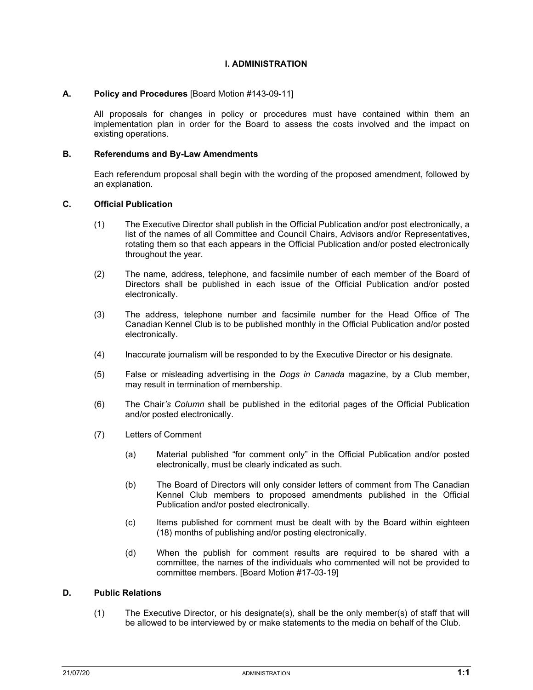#### I. ADMINISTRATION

#### A. Policy and Procedures [Board Motion #143-09-11]

All proposals for changes in policy or procedures must have contained within them an implementation plan in order for the Board to assess the costs involved and the impact on existing operations.

#### B. Referendums and By-Law Amendments

Each referendum proposal shall begin with the wording of the proposed amendment, followed by an explanation.

## C. Official Publication

- (1) The Executive Director shall publish in the Official Publication and/or post electronically, a list of the names of all Committee and Council Chairs, Advisors and/or Representatives, rotating them so that each appears in the Official Publication and/or posted electronically throughout the year.
- (2) The name, address, telephone, and facsimile number of each member of the Board of Directors shall be published in each issue of the Official Publication and/or posted electronically.
- (3) The address, telephone number and facsimile number for the Head Office of The Canadian Kennel Club is to be published monthly in the Official Publication and/or posted electronically.
- (4) Inaccurate journalism will be responded to by the Executive Director or his designate.
- (5) False or misleading advertising in the Dogs in Canada magazine, by a Club member, may result in termination of membership.
- (6) The Chair's Column shall be published in the editorial pages of the Official Publication and/or posted electronically.
- (7) Letters of Comment
	- (a) Material published "for comment only" in the Official Publication and/or posted electronically, must be clearly indicated as such.
	- (b) The Board of Directors will only consider letters of comment from The Canadian Kennel Club members to proposed amendments published in the Official Publication and/or posted electronically.
	- (c) Items published for comment must be dealt with by the Board within eighteen (18) months of publishing and/or posting electronically.
	- (d) When the publish for comment results are required to be shared with a committee, the names of the individuals who commented will not be provided to committee members. [Board Motion #17-03-19]

#### D. Public Relations

(1) The Executive Director, or his designate(s), shall be the only member(s) of staff that will be allowed to be interviewed by or make statements to the media on behalf of the Club.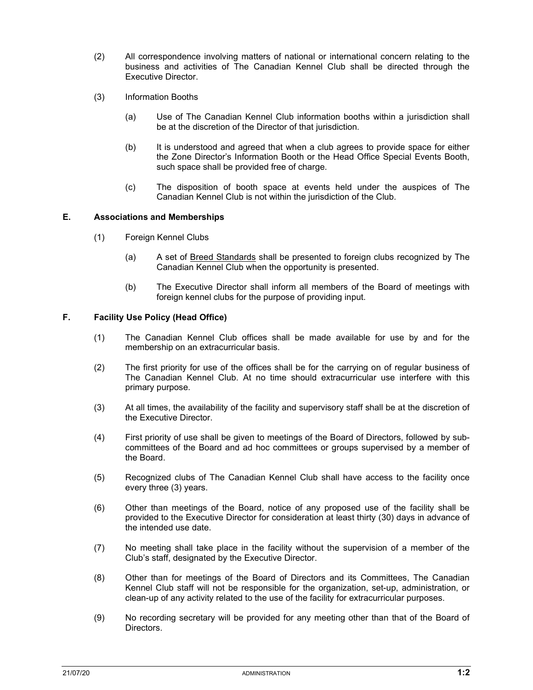- (2) All correspondence involving matters of national or international concern relating to the business and activities of The Canadian Kennel Club shall be directed through the Executive Director.
- (3) Information Booths
	- (a) Use of The Canadian Kennel Club information booths within a jurisdiction shall be at the discretion of the Director of that jurisdiction.
	- (b) It is understood and agreed that when a club agrees to provide space for either the Zone Director's Information Booth or the Head Office Special Events Booth, such space shall be provided free of charge.
	- (c) The disposition of booth space at events held under the auspices of The Canadian Kennel Club is not within the jurisdiction of the Club.

#### E. Associations and Memberships

- (1) Foreign Kennel Clubs
	- (a) A set of Breed Standards shall be presented to foreign clubs recognized by The Canadian Kennel Club when the opportunity is presented.
	- (b) The Executive Director shall inform all members of the Board of meetings with foreign kennel clubs for the purpose of providing input.

## F. Facility Use Policy (Head Office)

- (1) The Canadian Kennel Club offices shall be made available for use by and for the membership on an extracurricular basis.
- (2) The first priority for use of the offices shall be for the carrying on of regular business of The Canadian Kennel Club. At no time should extracurricular use interfere with this primary purpose.
- (3) At all times, the availability of the facility and supervisory staff shall be at the discretion of the Executive Director.
- (4) First priority of use shall be given to meetings of the Board of Directors, followed by subcommittees of the Board and ad hoc committees or groups supervised by a member of the Board.
- (5) Recognized clubs of The Canadian Kennel Club shall have access to the facility once every three (3) years.
- (6) Other than meetings of the Board, notice of any proposed use of the facility shall be provided to the Executive Director for consideration at least thirty (30) days in advance of the intended use date.
- (7) No meeting shall take place in the facility without the supervision of a member of the Club's staff, designated by the Executive Director.
- (8) Other than for meetings of the Board of Directors and its Committees, The Canadian Kennel Club staff will not be responsible for the organization, set-up, administration, or clean-up of any activity related to the use of the facility for extracurricular purposes.
- (9) No recording secretary will be provided for any meeting other than that of the Board of Directors.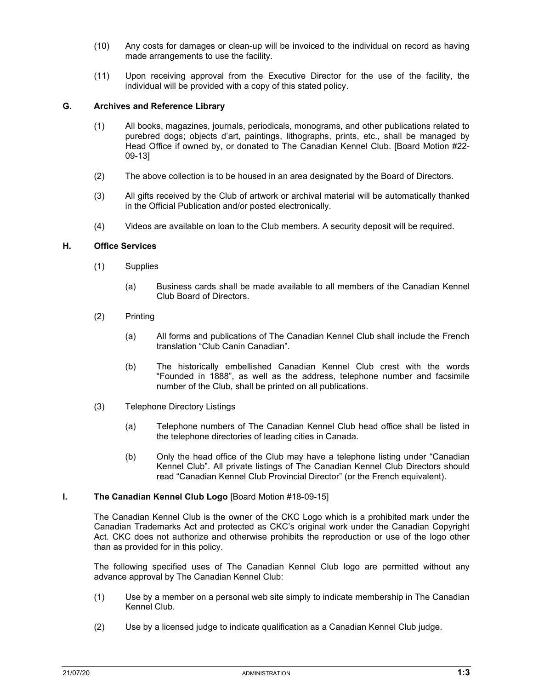- (10) Any costs for damages or clean-up will be invoiced to the individual on record as having made arrangements to use the facility.
- (11) Upon receiving approval from the Executive Director for the use of the facility, the individual will be provided with a copy of this stated policy.

## G. Archives and Reference Library

- (1) All books, magazines, journals, periodicals, monograms, and other publications related to purebred dogs; objects d'art, paintings, lithographs, prints, etc., shall be managed by Head Office if owned by, or donated to The Canadian Kennel Club. [Board Motion #22- 09-13]
- (2) The above collection is to be housed in an area designated by the Board of Directors.
- (3) All gifts received by the Club of artwork or archival material will be automatically thanked in the Official Publication and/or posted electronically.
- (4) Videos are available on loan to the Club members. A security deposit will be required.

#### H. Office Services

- (1) Supplies
	- (a) Business cards shall be made available to all members of the Canadian Kennel Club Board of Directors.
- (2) Printing
	- (a) All forms and publications of The Canadian Kennel Club shall include the French translation "Club Canin Canadian".
	- (b) The historically embellished Canadian Kennel Club crest with the words "Founded in 1888", as well as the address, telephone number and facsimile number of the Club, shall be printed on all publications.
- (3) Telephone Directory Listings
	- (a) Telephone numbers of The Canadian Kennel Club head office shall be listed in the telephone directories of leading cities in Canada.
	- (b) Only the head office of the Club may have a telephone listing under "Canadian Kennel Club". All private listings of The Canadian Kennel Club Directors should read "Canadian Kennel Club Provincial Director" (or the French equivalent).

#### I. The Canadian Kennel Club Logo [Board Motion #18-09-15]

The Canadian Kennel Club is the owner of the CKC Logo which is a prohibited mark under the Canadian Trademarks Act and protected as CKC's original work under the Canadian Copyright Act. CKC does not authorize and otherwise prohibits the reproduction or use of the logo other than as provided for in this policy.

The following specified uses of The Canadian Kennel Club logo are permitted without any advance approval by The Canadian Kennel Club:

- (1) Use by a member on a personal web site simply to indicate membership in The Canadian Kennel Club.
- (2) Use by a licensed judge to indicate qualification as a Canadian Kennel Club judge.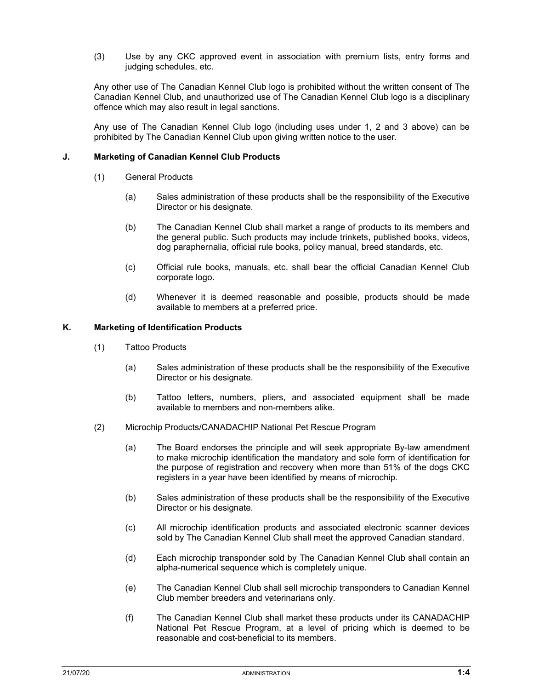(3) Use by any CKC approved event in association with premium lists, entry forms and judging schedules, etc.

Any other use of The Canadian Kennel Club logo is prohibited without the written consent of The Canadian Kennel Club, and unauthorized use of The Canadian Kennel Club logo is a disciplinary offence which may also result in legal sanctions.

Any use of The Canadian Kennel Club logo (including uses under 1, 2 and 3 above) can be prohibited by The Canadian Kennel Club upon giving written notice to the user.

#### J. Marketing of Canadian Kennel Club Products

- (1) General Products
	- (a) Sales administration of these products shall be the responsibility of the Executive Director or his designate.
	- (b) The Canadian Kennel Club shall market a range of products to its members and the general public. Such products may include trinkets, published books, videos, dog paraphernalia, official rule books, policy manual, breed standards, etc.
	- (c) Official rule books, manuals, etc. shall bear the official Canadian Kennel Club corporate logo.
	- (d) Whenever it is deemed reasonable and possible, products should be made available to members at a preferred price.

#### K. Marketing of Identification Products

- (1) Tattoo Products
	- (a) Sales administration of these products shall be the responsibility of the Executive Director or his designate.
	- (b) Tattoo letters, numbers, pliers, and associated equipment shall be made available to members and non-members alike.
- (2) Microchip Products/CANADACHIP National Pet Rescue Program
	- (a) The Board endorses the principle and will seek appropriate By-law amendment to make microchip identification the mandatory and sole form of identification for the purpose of registration and recovery when more than 51% of the dogs CKC registers in a year have been identified by means of microchip.
	- (b) Sales administration of these products shall be the responsibility of the Executive Director or his designate.
	- (c) All microchip identification products and associated electronic scanner devices sold by The Canadian Kennel Club shall meet the approved Canadian standard.
	- (d) Each microchip transponder sold by The Canadian Kennel Club shall contain an alpha-numerical sequence which is completely unique.
	- (e) The Canadian Kennel Club shall sell microchip transponders to Canadian Kennel Club member breeders and veterinarians only.
	- (f) The Canadian Kennel Club shall market these products under its CANADACHIP National Pet Rescue Program, at a level of pricing which is deemed to be reasonable and cost-beneficial to its members.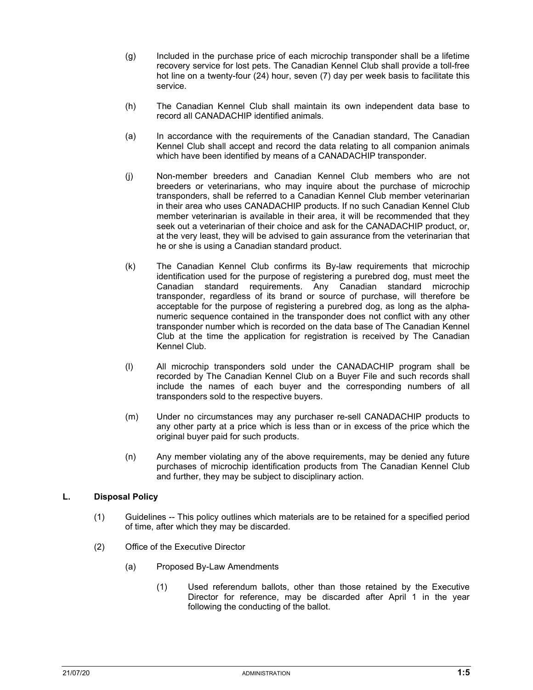- (g) Included in the purchase price of each microchip transponder shall be a lifetime recovery service for lost pets. The Canadian Kennel Club shall provide a toll-free hot line on a twenty-four (24) hour, seven (7) day per week basis to facilitate this service.
- (h) The Canadian Kennel Club shall maintain its own independent data base to record all CANADACHIP identified animals.
- (a) In accordance with the requirements of the Canadian standard, The Canadian Kennel Club shall accept and record the data relating to all companion animals which have been identified by means of a CANADACHIP transponder.
- (j) Non-member breeders and Canadian Kennel Club members who are not breeders or veterinarians, who may inquire about the purchase of microchip transponders, shall be referred to a Canadian Kennel Club member veterinarian in their area who uses CANADACHIP products. If no such Canadian Kennel Club member veterinarian is available in their area, it will be recommended that they seek out a veterinarian of their choice and ask for the CANADACHIP product, or, at the very least, they will be advised to gain assurance from the veterinarian that he or she is using a Canadian standard product.
- (k) The Canadian Kennel Club confirms its By-law requirements that microchip identification used for the purpose of registering a purebred dog, must meet the Canadian standard requirements. Any Canadian standard microchip transponder, regardless of its brand or source of purchase, will therefore be acceptable for the purpose of registering a purebred dog, as long as the alphanumeric sequence contained in the transponder does not conflict with any other transponder number which is recorded on the data base of The Canadian Kennel Club at the time the application for registration is received by The Canadian Kennel Club.
- (l) All microchip transponders sold under the CANADACHIP program shall be recorded by The Canadian Kennel Club on a Buyer File and such records shall include the names of each buyer and the corresponding numbers of all transponders sold to the respective buyers.
- (m) Under no circumstances may any purchaser re-sell CANADACHIP products to any other party at a price which is less than or in excess of the price which the original buyer paid for such products.
- (n) Any member violating any of the above requirements, may be denied any future purchases of microchip identification products from The Canadian Kennel Club and further, they may be subject to disciplinary action.

## L. Disposal Policy

- (1) Guidelines -- This policy outlines which materials are to be retained for a specified period of time, after which they may be discarded.
- (2) Office of the Executive Director
	- (a) Proposed By-Law Amendments
		- (1) Used referendum ballots, other than those retained by the Executive Director for reference, may be discarded after April 1 in the year following the conducting of the ballot.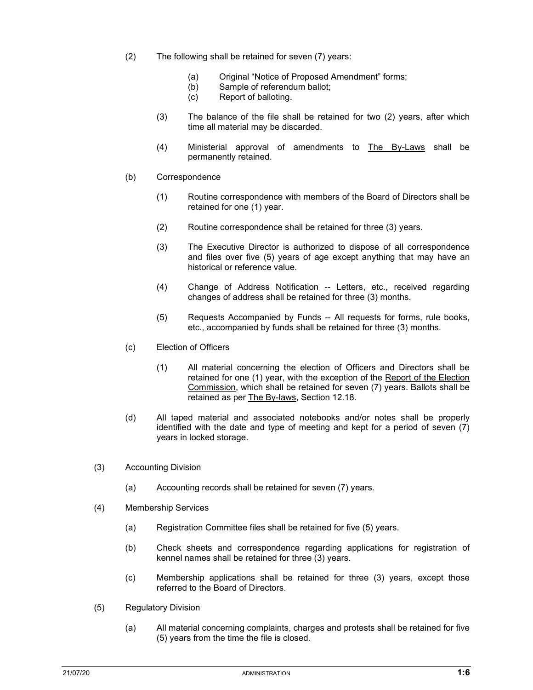- (2) The following shall be retained for seven (7) years:
	- (a) Original "Notice of Proposed Amendment" forms;
	- (b) Sample of referendum ballot;
	- (c) Report of balloting.
	- (3) The balance of the file shall be retained for two (2) years, after which time all material may be discarded.
	- (4) Ministerial approval of amendments to The By-Laws shall be permanently retained.
- (b) Correspondence
	- (1) Routine correspondence with members of the Board of Directors shall be retained for one (1) year.
	- (2) Routine correspondence shall be retained for three (3) years.
	- (3) The Executive Director is authorized to dispose of all correspondence and files over five (5) years of age except anything that may have an historical or reference value.
	- (4) Change of Address Notification -- Letters, etc., received regarding changes of address shall be retained for three (3) months.
	- (5) Requests Accompanied by Funds -- All requests for forms, rule books, etc., accompanied by funds shall be retained for three (3) months.
- (c) Election of Officers
	- (1) All material concerning the election of Officers and Directors shall be retained for one (1) year, with the exception of the Report of the Election Commission, which shall be retained for seven (7) years. Ballots shall be retained as per The By-laws, Section 12.18.
- (d) All taped material and associated notebooks and/or notes shall be properly identified with the date and type of meeting and kept for a period of seven (7) years in locked storage.
- (3) Accounting Division
	- (a) Accounting records shall be retained for seven (7) years.
- (4) Membership Services
	- (a) Registration Committee files shall be retained for five (5) years.
	- (b) Check sheets and correspondence regarding applications for registration of kennel names shall be retained for three (3) years.
	- (c) Membership applications shall be retained for three (3) years, except those referred to the Board of Directors.
- (5) Regulatory Division
	- (a) All material concerning complaints, charges and protests shall be retained for five (5) years from the time the file is closed.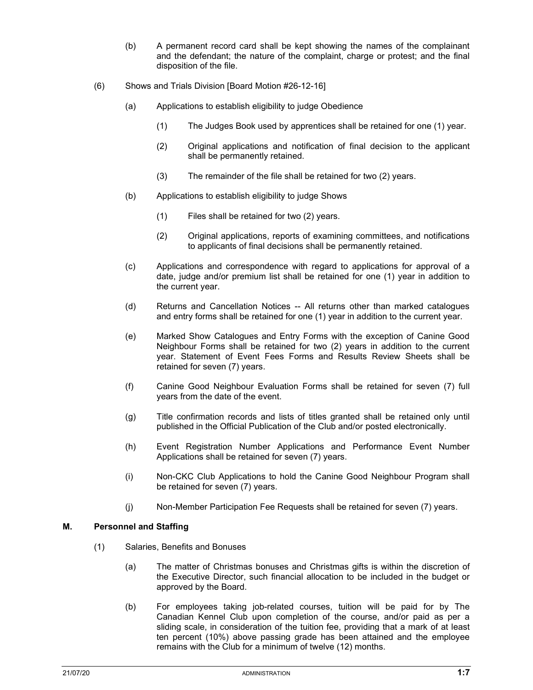- (b) A permanent record card shall be kept showing the names of the complainant and the defendant; the nature of the complaint, charge or protest; and the final disposition of the file.
- (6) Shows and Trials Division [Board Motion #26-12-16]
	- (a) Applications to establish eligibility to judge Obedience
		- (1) The Judges Book used by apprentices shall be retained for one (1) year.
		- (2) Original applications and notification of final decision to the applicant shall be permanently retained.
		- (3) The remainder of the file shall be retained for two (2) years.
	- (b) Applications to establish eligibility to judge Shows
		- (1) Files shall be retained for two (2) years.
		- (2) Original applications, reports of examining committees, and notifications to applicants of final decisions shall be permanently retained.
	- (c) Applications and correspondence with regard to applications for approval of a date, judge and/or premium list shall be retained for one (1) year in addition to the current year.
	- (d) Returns and Cancellation Notices -- All returns other than marked catalogues and entry forms shall be retained for one (1) year in addition to the current year.
	- (e) Marked Show Catalogues and Entry Forms with the exception of Canine Good Neighbour Forms shall be retained for two (2) years in addition to the current year. Statement of Event Fees Forms and Results Review Sheets shall be retained for seven (7) years.
	- (f) Canine Good Neighbour Evaluation Forms shall be retained for seven (7) full years from the date of the event.
	- (g) Title confirmation records and lists of titles granted shall be retained only until published in the Official Publication of the Club and/or posted electronically.
	- (h) Event Registration Number Applications and Performance Event Number Applications shall be retained for seven (7) years.
	- (i) Non-CKC Club Applications to hold the Canine Good Neighbour Program shall be retained for seven (7) years.
	- (j) Non-Member Participation Fee Requests shall be retained for seven (7) years.

## M. Personnel and Staffing

- (1) Salaries, Benefits and Bonuses
	- (a) The matter of Christmas bonuses and Christmas gifts is within the discretion of the Executive Director, such financial allocation to be included in the budget or approved by the Board.
	- (b) For employees taking job-related courses, tuition will be paid for by The Canadian Kennel Club upon completion of the course, and/or paid as per a sliding scale, in consideration of the tuition fee, providing that a mark of at least ten percent (10%) above passing grade has been attained and the employee remains with the Club for a minimum of twelve (12) months.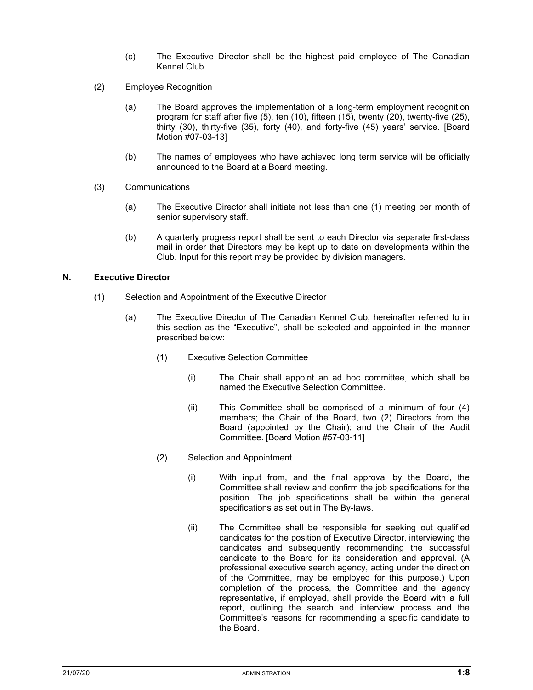- (c) The Executive Director shall be the highest paid employee of The Canadian Kennel Club.
- (2) Employee Recognition
	- (a) The Board approves the implementation of a long-term employment recognition program for staff after five (5), ten (10), fifteen (15), twenty (20), twenty-five (25), thirty (30), thirty-five (35), forty (40), and forty-five (45) years' service. [Board Motion #07-03-13]
	- (b) The names of employees who have achieved long term service will be officially announced to the Board at a Board meeting.
- (3) Communications
	- (a) The Executive Director shall initiate not less than one (1) meeting per month of senior supervisory staff.
	- (b) A quarterly progress report shall be sent to each Director via separate first-class mail in order that Directors may be kept up to date on developments within the Club. Input for this report may be provided by division managers.

#### N. Executive Director

- (1) Selection and Appointment of the Executive Director
	- (a) The Executive Director of The Canadian Kennel Club, hereinafter referred to in this section as the "Executive", shall be selected and appointed in the manner prescribed below:
		- (1) Executive Selection Committee
			- (i) The Chair shall appoint an ad hoc committee, which shall be named the Executive Selection Committee.
			- (ii) This Committee shall be comprised of a minimum of four (4) members; the Chair of the Board, two (2) Directors from the Board (appointed by the Chair); and the Chair of the Audit Committee. [Board Motion #57-03-11]
		- (2) Selection and Appointment
			- (i) With input from, and the final approval by the Board, the Committee shall review and confirm the job specifications for the position. The job specifications shall be within the general specifications as set out in The By-laws.
			- (ii) The Committee shall be responsible for seeking out qualified candidates for the position of Executive Director, interviewing the candidates and subsequently recommending the successful candidate to the Board for its consideration and approval. (A professional executive search agency, acting under the direction of the Committee, may be employed for this purpose.) Upon completion of the process, the Committee and the agency representative, if employed, shall provide the Board with a full report, outlining the search and interview process and the Committee's reasons for recommending a specific candidate to the Board.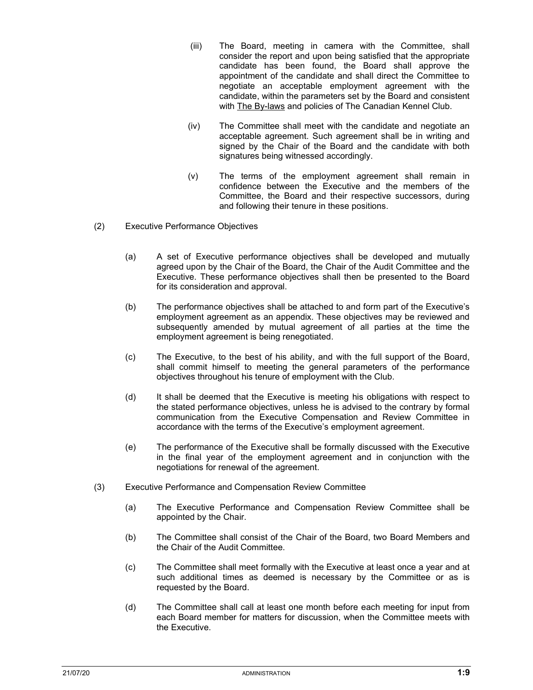- (iii) The Board, meeting in camera with the Committee, shall consider the report and upon being satisfied that the appropriate candidate has been found, the Board shall approve the appointment of the candidate and shall direct the Committee to negotiate an acceptable employment agreement with the candidate, within the parameters set by the Board and consistent with The By-laws and policies of The Canadian Kennel Club.
- (iv) The Committee shall meet with the candidate and negotiate an acceptable agreement. Such agreement shall be in writing and signed by the Chair of the Board and the candidate with both signatures being witnessed accordingly.
- (v) The terms of the employment agreement shall remain in confidence between the Executive and the members of the Committee, the Board and their respective successors, during and following their tenure in these positions.
- (2) Executive Performance Objectives
	- (a) A set of Executive performance objectives shall be developed and mutually agreed upon by the Chair of the Board, the Chair of the Audit Committee and the Executive. These performance objectives shall then be presented to the Board for its consideration and approval.
	- (b) The performance objectives shall be attached to and form part of the Executive's employment agreement as an appendix. These objectives may be reviewed and subsequently amended by mutual agreement of all parties at the time the employment agreement is being renegotiated.
	- (c) The Executive, to the best of his ability, and with the full support of the Board, shall commit himself to meeting the general parameters of the performance objectives throughout his tenure of employment with the Club.
	- (d) It shall be deemed that the Executive is meeting his obligations with respect to the stated performance objectives, unless he is advised to the contrary by formal communication from the Executive Compensation and Review Committee in accordance with the terms of the Executive's employment agreement.
	- (e) The performance of the Executive shall be formally discussed with the Executive in the final year of the employment agreement and in conjunction with the negotiations for renewal of the agreement.
- (3) Executive Performance and Compensation Review Committee
	- (a) The Executive Performance and Compensation Review Committee shall be appointed by the Chair.
	- (b) The Committee shall consist of the Chair of the Board, two Board Members and the Chair of the Audit Committee.
	- (c) The Committee shall meet formally with the Executive at least once a year and at such additional times as deemed is necessary by the Committee or as is requested by the Board.
	- (d) The Committee shall call at least one month before each meeting for input from each Board member for matters for discussion, when the Committee meets with the Executive.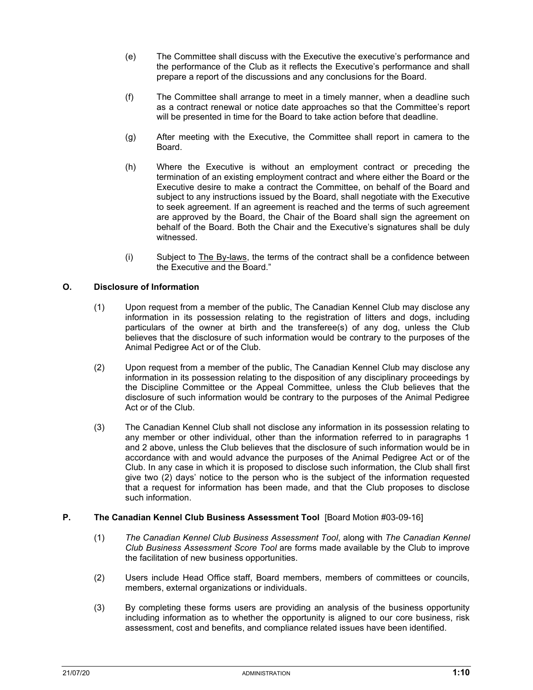- (e) The Committee shall discuss with the Executive the executive's performance and the performance of the Club as it reflects the Executive's performance and shall prepare a report of the discussions and any conclusions for the Board.
- (f) The Committee shall arrange to meet in a timely manner, when a deadline such as a contract renewal or notice date approaches so that the Committee's report will be presented in time for the Board to take action before that deadline.
- (g) After meeting with the Executive, the Committee shall report in camera to the Board.
- (h) Where the Executive is without an employment contract or preceding the termination of an existing employment contract and where either the Board or the Executive desire to make a contract the Committee, on behalf of the Board and subject to any instructions issued by the Board, shall negotiate with the Executive to seek agreement. If an agreement is reached and the terms of such agreement are approved by the Board, the Chair of the Board shall sign the agreement on behalf of the Board. Both the Chair and the Executive's signatures shall be duly witnessed.
- (i) Subject to The By-laws, the terms of the contract shall be a confidence between the Executive and the Board."

## O. Disclosure of Information

- (1) Upon request from a member of the public, The Canadian Kennel Club may disclose any information in its possession relating to the registration of litters and dogs, including particulars of the owner at birth and the transferee(s) of any dog, unless the Club believes that the disclosure of such information would be contrary to the purposes of the Animal Pedigree Act or of the Club.
- (2) Upon request from a member of the public, The Canadian Kennel Club may disclose any information in its possession relating to the disposition of any disciplinary proceedings by the Discipline Committee or the Appeal Committee, unless the Club believes that the disclosure of such information would be contrary to the purposes of the Animal Pedigree Act or of the Club.
- (3) The Canadian Kennel Club shall not disclose any information in its possession relating to any member or other individual, other than the information referred to in paragraphs 1 and 2 above, unless the Club believes that the disclosure of such information would be in accordance with and would advance the purposes of the Animal Pedigree Act or of the Club. In any case in which it is proposed to disclose such information, the Club shall first give two (2) days' notice to the person who is the subject of the information requested that a request for information has been made, and that the Club proposes to disclose such information.

## P. The Canadian Kennel Club Business Assessment Tool [Board Motion #03-09-16]

- (1) The Canadian Kennel Club Business Assessment Tool, along with The Canadian Kennel Club Business Assessment Score Tool are forms made available by the Club to improve the facilitation of new business opportunities.
- (2) Users include Head Office staff, Board members, members of committees or councils, members, external organizations or individuals.
- (3) By completing these forms users are providing an analysis of the business opportunity including information as to whether the opportunity is aligned to our core business, risk assessment, cost and benefits, and compliance related issues have been identified.